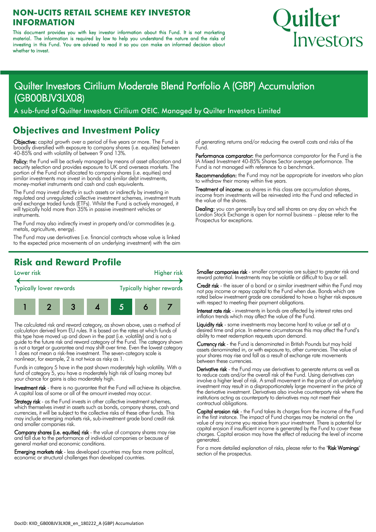#### **NON-UCITS RETAIL SCHEME KEY INVESTOR INFORMATION**

This document provides you with key investor information about this Fund. It is not marketing material. The information is required by law to help you understand the nature and the risks of investing in this Fund. You are advised to read it so you can make an informed decision about whether to invest.

# Quilter <u>Investors</u>

## Quilter Investors Cirilium Moderate Blend Portfolio A (GBP) Accumulation (GB00BJV3LX08)

A sub-fund of Quilter Investors Cirilium OEIC. Managed by Quilter Investors Limited

#### **Objectives and Investment Policy**

Objective: capital growth over a period of five years or more. The Fund is broadly diversified with exposure to company shares (i.e. equities) between 40-85% and with volatility of between 9 and 13%.

Policy: the Fund will be actively managed by means of asset allocation and security selection and provides exposure to UK and overseas markets. The portion of the Fund not allocated to company shares (i.e. equities) and similar investments may invest in bonds and similar debt investments, money-market instruments and cash and cash equivalents.

The Fund may invest directly in such assets or indirectly by investing in regulated and unregulated collective investment schemes, investment trusts and exchange traded funds (ETFs). Whilst the Fund is actively managed, it will typically hold more than 35% in passive investment vehicles or instruments.

The Fund may also indirectly invest in property and/or commodities (e.g. metals, agriculture, energy).

The Fund may use derivatives (i.e. financial contracts whose value is linked to the expected price movements of an underlying investment) with the aim of generating returns and/or reducing the overall costs and risks of the Fund.

Performance comparator: the performance comparator for the Fund is the IA Mixed Investment 40-85% Shares Sector average performance. The Fund is not managed with reference to a benchmark.

Recommendation: the Fund may not be appropriate for investors who plan to withdraw their money within five years.

Treatment of income: as shares in this class are accumulation shares, income from investments will be reinvested into the Fund and reflected in the value of the shares.

Dealing: you can generally buy and sell shares on any day on which the London Stock Exchange is open for normal business – please refer to the Prospectus for exceptions.

#### **Risk and Reward Profile**



The calculated risk and reward category, as shown above, uses a method of calculation derived from EU rules. It is based on the rates at which funds of this type have moved up and down in the past (i.e. volatility) and is not a guide to the future risk and reward category of the Fund. The category shown is not a target or guarantee and may shift over time. Even the lowest category 1 does not mean a risk-free investment. The seven-category scale is nonlinear, for example, 2 is not twice as risky as 1.

Funds in category 5 have in the past shown moderately high volatility. With a fund of category 5, you have a moderately high risk of losing money but your chance for gains is also moderately high.

Investment risk - there is no guarantee that the Fund will achieve its objective. A capital loss of some or all of the amount invested may occur.

Strategy risk - as the Fund invests in other collective investment schemes, which themselves invest in assets such as bonds, company shares, cash and currencies, it will be subject to the collective risks of these other funds. This may include emerging markets risk, sub-investment grade bond credit risk and smaller companies risk.

Company shares (i.e. equities) risk - the value of company shares may rise and fall due to the performance of individual companies or because of general market and economic conditions.

Emerging markets risk - less developed countries may face more political, economic or structural challenges than developed countries.

Smaller companies risk - smaller companies are subject to greater risk and reward potential. Investments may be volatile or difficult to buy or sell.

Credit risk - the issuer of a bond or a similar investment within the Fund may not pay income or repay capital to the Fund when due. Bonds which are rated below investment grade are considered to have a higher risk exposure with respect to meeting their payment obligations.

Interest rate risk - investments in bonds are affected by interest rates and inflation trends which may affect the value of the Fund.

Liquidity risk - some investments may become hard to value or sell at a desired time and price. In extreme circumstances this may affect the Fund's ability to meet redemption requests upon demand.

Currency risk - the Fund is denominated in British Pounds but may hold assets denominated in, or with exposure to, other currencies. The value of your shares may rise and fall as a result of exchange rate movements between these currencies.

Derivative risk - the Fund may use derivatives to generate returns as well as to reduce costs and/or the overall risk of the Fund. Using derivatives can involve a higher level of risk. A small movement in the price of an underlying investment may result in a disproportionately large movement in the price of the derivative investment. Derivatives also involve counterparty risk where the institutions acting as counterparty to derivatives may not meet their contractual obligations.

Capital erosion risk - the Fund takes its charges from the income of the Fund in the first instance. The impact of Fund charges may be material on the value of any income you receive from your investment. There is potential for capital erosion if insufficient income is generated by the Fund to cover these charges. Capital erosion may have the effect of reducing the level of income generated.

For a more detailed explanation of risks, please refer to the "Risk Warnings" section of the prospectus.